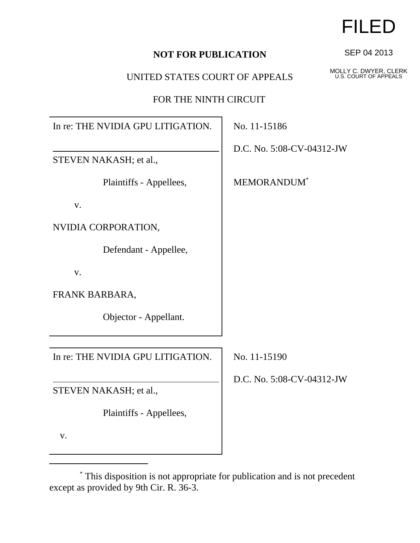## **NOT FOR PUBLICATION**

## UNITED STATES COURT OF APPEALS

FOR THE NINTH CIRCUIT

In re: THE NVIDIA GPU LITIGATION.

STEVEN NAKASH; et al.,

Plaintiffs - Appellees,

v.

NVIDIA CORPORATION,

Defendant - Appellee,

v.

FRANK BARBARA,

Objector - Appellant.

In re: THE NVIDIA GPU LITIGATION.

except as provided by 9th Cir. R. 36-3.

STEVEN NAKASH; et al.,

Plaintiffs - Appellees,

v.

No. 11-15186

D.C. No. 5:08-CV-04312-JW

MEMORANDUM\*

No. 11-15190

D.C. No. 5:08-CV-04312-JW



\* This disposition is not appropriate for publication and is not precedent

FILED

SEP 04 2013

MOLLY C. DWYER, CLERK U.S. COURT OF APPEALS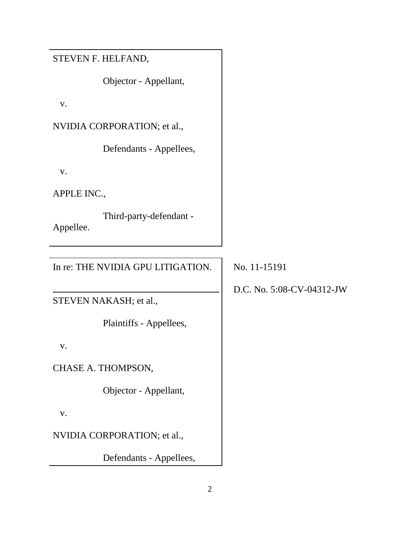STEVEN F. HELFAND,

Objector - Appellant,

v.

NVIDIA CORPORATION; et al.,

Defendants - Appellees,

v.

APPLE INC.,

 Third-party-defendant - Appellee.

In re: THE NVIDIA GPU LITIGATION.

STEVEN NAKASH; et al.,

Plaintiffs - Appellees,

v.

CHASE A. THOMPSON,

Objector - Appellant,

v.

NVIDIA CORPORATION; et al.,

Defendants - Appellees,

No. 11-15191

D.C. No. 5:08-CV-04312-JW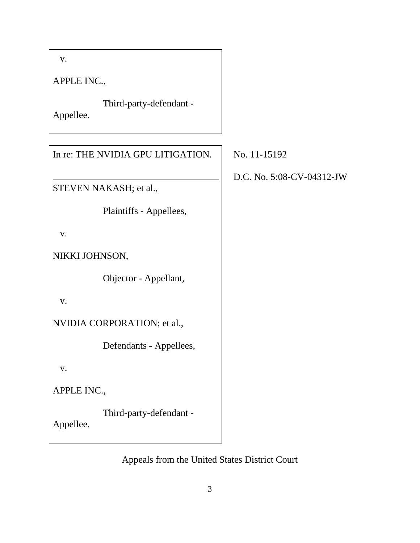v.

APPLE INC.,

 Third-party-defendant - Appellee.

In re: THE NVIDIA GPU LITIGATION.

STEVEN NAKASH; et al.,

Plaintiffs - Appellees,

v.

NIKKI JOHNSON,

Objector - Appellant,

v.

NVIDIA CORPORATION; et al.,

Defendants - Appellees,

v.

APPLE INC.,

 Third-party-defendant - Appellee.

Appeals from the United States District Court

No. 11-15192

D.C. No. 5:08-CV-04312-JW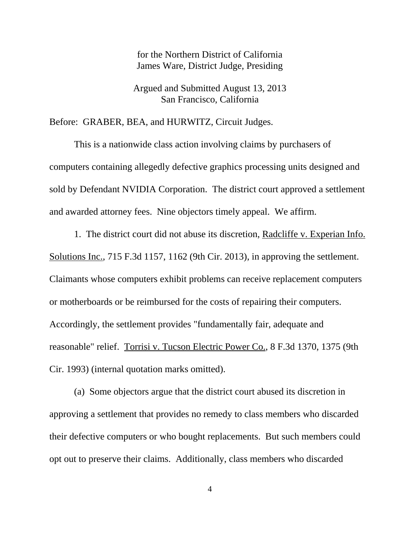for the Northern District of California James Ware, District Judge, Presiding

Argued and Submitted August 13, 2013 San Francisco, California

Before: GRABER, BEA, and HURWITZ, Circuit Judges.

This is a nationwide class action involving claims by purchasers of computers containing allegedly defective graphics processing units designed and sold by Defendant NVIDIA Corporation. The district court approved a settlement and awarded attorney fees. Nine objectors timely appeal. We affirm.

1. The district court did not abuse its discretion, Radcliffe v. Experian Info. Solutions Inc., 715 F.3d 1157, 1162 (9th Cir. 2013), in approving the settlement. Claimants whose computers exhibit problems can receive replacement computers or motherboards or be reimbursed for the costs of repairing their computers. Accordingly, the settlement provides "fundamentally fair, adequate and reasonable" relief. Torrisi v. Tucson Electric Power Co., 8 F.3d 1370, 1375 (9th Cir. 1993) (internal quotation marks omitted).

(a) Some objectors argue that the district court abused its discretion in approving a settlement that provides no remedy to class members who discarded their defective computers or who bought replacements. But such members could opt out to preserve their claims. Additionally, class members who discarded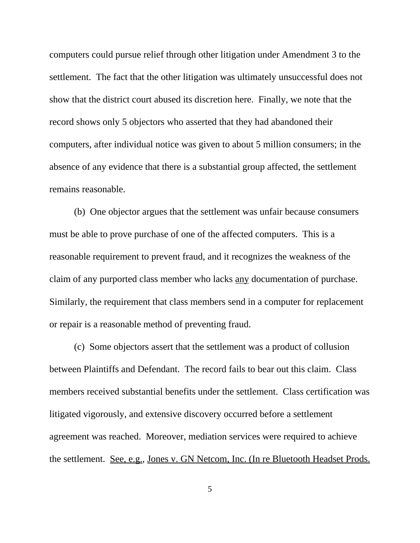computers could pursue relief through other litigation under Amendment 3 to the settlement. The fact that the other litigation was ultimately unsuccessful does not show that the district court abused its discretion here. Finally, we note that the record shows only 5 objectors who asserted that they had abandoned their computers, after individual notice was given to about 5 million consumers; in the absence of any evidence that there is a substantial group affected, the settlement remains reasonable.

(b) One objector argues that the settlement was unfair because consumers must be able to prove purchase of one of the affected computers. This is a reasonable requirement to prevent fraud, and it recognizes the weakness of the claim of any purported class member who lacks any documentation of purchase. Similarly, the requirement that class members send in a computer for replacement or repair is a reasonable method of preventing fraud.

(c) Some objectors assert that the settlement was a product of collusion between Plaintiffs and Defendant. The record fails to bear out this claim. Class members received substantial benefits under the settlement. Class certification was litigated vigorously, and extensive discovery occurred before a settlement agreement was reached. Moreover, mediation services were required to achieve the settlement. See, e.g., Jones v. GN Netcom, Inc. (In re Bluetooth Headset Prods.

5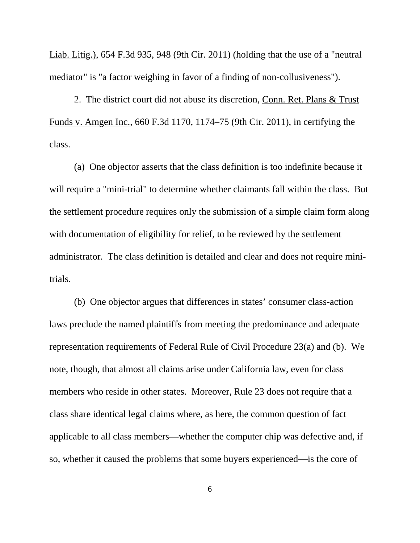Liab. Litig.), 654 F.3d 935, 948 (9th Cir. 2011) (holding that the use of a "neutral mediator" is "a factor weighing in favor of a finding of non-collusiveness").

2. The district court did not abuse its discretion, Conn. Ret. Plans & Trust Funds v. Amgen Inc., 660 F.3d 1170, 1174–75 (9th Cir. 2011), in certifying the class.

(a) One objector asserts that the class definition is too indefinite because it will require a "mini-trial" to determine whether claimants fall within the class. But the settlement procedure requires only the submission of a simple claim form along with documentation of eligibility for relief, to be reviewed by the settlement administrator. The class definition is detailed and clear and does not require minitrials.

(b) One objector argues that differences in states' consumer class-action laws preclude the named plaintiffs from meeting the predominance and adequate representation requirements of Federal Rule of Civil Procedure 23(a) and (b). We note, though, that almost all claims arise under California law, even for class members who reside in other states. Moreover, Rule 23 does not require that a class share identical legal claims where, as here, the common question of fact applicable to all class members—whether the computer chip was defective and, if so, whether it caused the problems that some buyers experienced—is the core of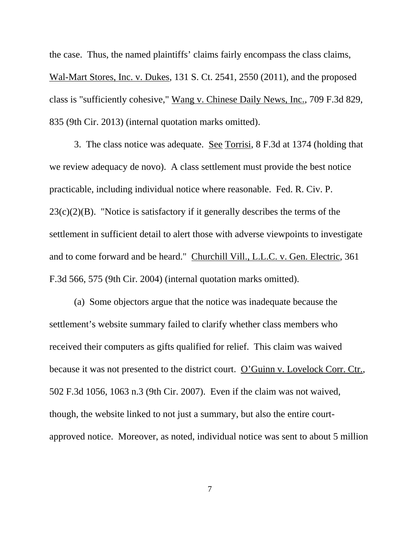the case. Thus, the named plaintiffs' claims fairly encompass the class claims, Wal-Mart Stores, Inc. v. Dukes, 131 S. Ct. 2541, 2550 (2011), and the proposed class is "sufficiently cohesive," Wang v. Chinese Daily News, Inc., 709 F.3d 829, 835 (9th Cir. 2013) (internal quotation marks omitted).

3. The class notice was adequate. See Torrisi, 8 F.3d at 1374 (holding that we review adequacy de novo). A class settlement must provide the best notice practicable, including individual notice where reasonable. Fed. R. Civ. P.  $23(c)(2)(B)$ . "Notice is satisfactory if it generally describes the terms of the settlement in sufficient detail to alert those with adverse viewpoints to investigate and to come forward and be heard." Churchill Vill., L.L.C. v. Gen. Electric, 361 F.3d 566, 575 (9th Cir. 2004) (internal quotation marks omitted).

(a) Some objectors argue that the notice was inadequate because the settlement's website summary failed to clarify whether class members who received their computers as gifts qualified for relief. This claim was waived because it was not presented to the district court. O'Guinn v. Lovelock Corr. Ctr., 502 F.3d 1056, 1063 n.3 (9th Cir. 2007). Even if the claim was not waived, though, the website linked to not just a summary, but also the entire courtapproved notice. Moreover, as noted, individual notice was sent to about 5 million

7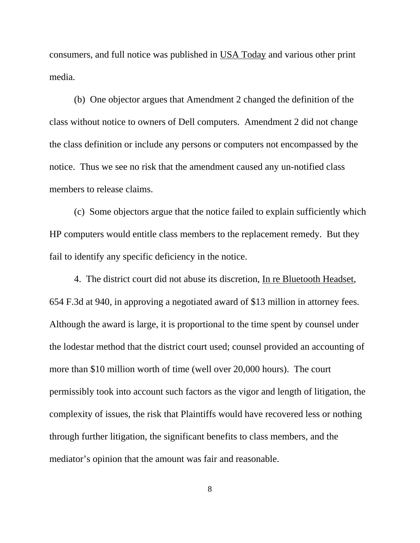consumers, and full notice was published in USA Today and various other print media.

(b) One objector argues that Amendment 2 changed the definition of the class without notice to owners of Dell computers. Amendment 2 did not change the class definition or include any persons or computers not encompassed by the notice. Thus we see no risk that the amendment caused any un-notified class members to release claims.

(c) Some objectors argue that the notice failed to explain sufficiently which HP computers would entitle class members to the replacement remedy. But they fail to identify any specific deficiency in the notice.

4. The district court did not abuse its discretion, In re Bluetooth Headset, 654 F.3d at 940, in approving a negotiated award of \$13 million in attorney fees. Although the award is large, it is proportional to the time spent by counsel under the lodestar method that the district court used; counsel provided an accounting of more than \$10 million worth of time (well over 20,000 hours). The court permissibly took into account such factors as the vigor and length of litigation, the complexity of issues, the risk that Plaintiffs would have recovered less or nothing through further litigation, the significant benefits to class members, and the mediator's opinion that the amount was fair and reasonable.

8